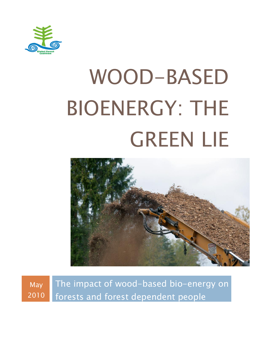

# WOOD-BASED BIOENERGY: THE GREEN LIE



May 2010 The impact of wood-based bio-energy on forests and forest dependent people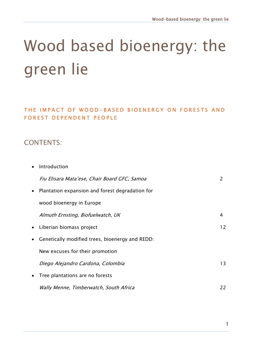### Wood based bioenergy: the green lie

THE IMPACT OF WOOD-BASED BIOENERGY ON FORESTS AND FOREST DEPENDENT PEOPLE

#### CONTENTS:

| Introduction                                    |    |
|-------------------------------------------------|----|
| Fiu Elisara Mata'ese, Chair Board GFC, Samoa    | 2  |
| Plantation expansion and forest degradation for |    |
| wood bioenergy in Europe                        |    |
| Almuth Ernsting, Biofuelwatch, UK               | 4  |
| Liberian biomass project                        | 12 |
| Genetically modified trees, bioenergy and REDD: |    |
| New excuses for their promotion                 |    |
| Diego Alejandro Cardona, Colombia               | 13 |
| Tree plantations are no forests                 |    |
| Wally Menne, Timberwatch, South Africa          | 22 |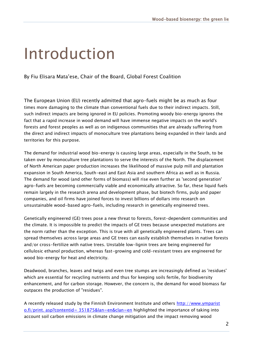### Introduction

By Fiu Elisara Mata"ese, Chair of the Board, Global Forest Coalition

The European Union (EU) recently admitted that agro-fuels might be as much as four times more damaging to the climate than conventional fuels due to their indirect impacts. Still, such indirect impacts are being ignored in EU policies. Promoting woody bio-energy ignores the fact that a rapid increase in wood demand will have immense negative impacts on the world's forests and forest peoples as well as on indigenous communities that are already suffering from the direct and indirect impacts of monoculture tree plantations being expanded in their lands and territories for this purpose.

The demand for industrial wood bio-energy is causing large areas, especially in the South, to be taken over by monoculture tree plantations to serve the interests of the North. The displacement of North American paper production increases the likelihood of massive pulp mill and plantation expansion in South America, South-east and East Asia and southern Africa as well as in Russia. The demand for wood (and other forms of biomass) will rise even further as 'second generation' agro-fuels are becoming commercially viable and economically attractive. So far, these liquid fuels remain largely in the research arena and development phase, but biotech firms, pulp and paper companies, and oil firms have joined forces to invest billions of dollars into research on unsustainable wood-based agro-fuels, including research in genetically engineered trees.

Genetically engineered (GE) trees pose a new threat to forests, forest-dependent communities and the climate. It is impossible to predict the impacts of GE trees because unexpected mutations are the norm rather than the exception. This is true with all genetically engineered plants. Trees can spread themselves across large areas and GE trees can easily establish themselves in native forests and/or cross-fertilize with native trees. Unstable low-lignin trees are being engineered for cellulosic ethanol production, whereas fast-growing and cold-resistant trees are engineered for wood bio-energy for heat and electricity.

Deadwood, branches, leaves and twigs and even tree stumps are increasingly defined as 'residues' which are essential for recycling nutrients and thus for keeping soils fertile, for biodiversity enhancement, and for carbon storage. However, the concern is, the demand for wood biomass far outpaces the production of "residues".

A recently released study by the Finnish Environment Institute and others http://www.ymparist [o.fi/print. asp?contentid= 351875&lan=en&clan=en](http://www.ymparisto.fi/print.asp?contentid=351875&lan=en&clan=en) highlighted the importance of taking into account soil carbon emissions in climate change mitigation and the impact removing wood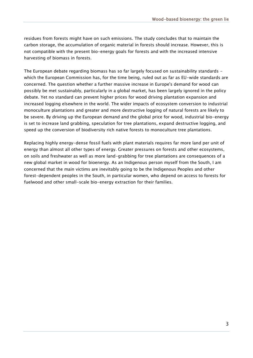residues from forests might have on such emissions. The study concludes that to maintain the carbon storage, the accumulation of organic material in forests should increase. However, this is not compatible with the present bio-energy goals for forests and with the increased intensive harvesting of biomass in forests.

The European debate regarding biomass has so far largely focused on sustainability standards which the European Commission has, for the time being, ruled out as far as EU-wide standards are concerned. The question whether a further massive increase in Europe's demand for wood can possibly be met sustainably, particularly in a global market, has been largely ignored in the policy debate. Yet no standard can prevent higher prices for wood driving plantation expansion and increased logging elsewhere in the world. The wider impacts of ecosystem conversion to industrial monoculture plantations and greater and more destructive logging of natural forests are likely to be severe. By driving up the European demand and the global price for wood, industrial bio-energy is set to increase land grabbing, speculation for tree plantations, expand destructive logging, and speed up the conversion of biodiversity rich native forests to monoculture tree plantations.

Replacing highly energy-dense fossil fuels with plant materials requires far more land per unit of energy than almost all other types of energy. Greater pressures on forests and other ecosystems, on soils and freshwater as well as more land-grabbing for tree plantations are consequences of a new global market in wood for bioenergy. As an Indigenous person myself from the South, I am concerned that the main victims are inevitably going to be the Indigenous Peoples and other forest-dependent peoples in the South, in particular women, who depend on access to forests for fuelwood and other small-scale bio-energy extraction for their families.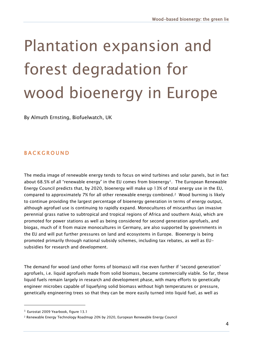### Plantation expansion and forest degradation for wood bioenergy in Europe

By Almuth Ernsting, Biofuelwatch, UK

#### **BACKGROUND**

The media image of renewable energy tends to focus on wind turbines and solar panels, but in fact about 68.5% of all "renewable energy" in the EU comes from bioenergy<sup>1</sup>. The European Renewable Energy Council predicts that, by 2020, bioenergy will make up 13% of total energy use in the EU, compared to approximately 7% for all other renewable energy combined.2 Wood burning is likely to continue providing the largest percentage of bioenergy generation in terms of energy output, although agrofuel use is continuing to rapidly expand. Monocultures of miscanthus (an invasive perennial grass native to subtropical and tropical regions of Africa and southern Asia), which are promoted for power stations as well as being considered for second generation agrofuels, and biogas, much of it from maize monocultures in Germany, are also supported by governments in the EU and will put further pressures on land and ecosystems in Europe. Bioenergy is being promoted primarily through national subsidy schemes, including tax rebates, as well as EUsubsidies for research and development.

The demand for wood (and other forms of biomass) will rise even further if "second generation" agrofuels, i.e. liquid agrofuels made from solid biomass, became commercially viable. So far, these liquid fuels remain largely in research and development phase, with many efforts to genetically engineer microbes capable of liquefying solid biomass without high temperatures or pressure, genetically engineering trees so that they can be more easily turned into liquid fuel, as well as

<sup>1</sup> Eurostat 2009 Yearbook, figure 13.1

<sup>2</sup> Renewable Energy Technology Roadmap 20% by 2020, European Renewable Energy Council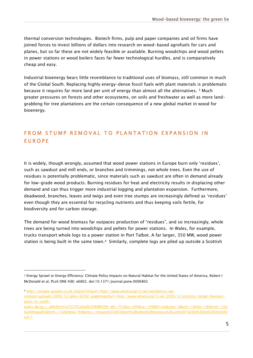thermal conversion technologies. Biotech firms, pulp and paper companies and oil firms have joined forces to invest billions of dollars into research on wood-based agrofuels for cars and planes, but so far these are not widely feasible or available. Burning woodchips and wood pellets in power stations or wood boilers faces far fewer technological hurdles, and is comparatively cheap and easy.

Industrial bioenergy bears little resemblance to traditional uses of biomass, still common in much of the Global South. Replacing highly energy-dense fossil fuels with plant materials is problematic because it requires far more land per unit of energy than almost all the alternatives. <sup>3</sup> Much greater pressures on forests and other ecosystems, on soils and freshwater as well as more landgrabbing for tree plantations are the certain consequence of a new global market in wood for bioenergy.

#### FROM STUMP REMOVAL TO PLANTATION EXPANSION IN **EUROPE**

It is widely, though wrongly, assumed that wood power stations in Europe burn only "residues", such as sawdust and mill ends, or branches and trimmings, not whole trees. Even the use of residues is potentially problematic, since materials such as sawdust are often in demand already for low-grade wood products. Burning residues for heat and electricity results in displacing other demand and can thus trigger more industrial logging and plantation expansion. Furthermore, deadwood, branches, leaves and twigs and even tree stumps are increasingly defined as "residues" even though they are essential for recycling nutrients and thus keeping soils fertile, for biodiversity and for carbon storage.

The demand for wood biomass far outpaces production of "residues", and so increasingly, whole trees are being turned into woodchips and pellets for power stations. In Wales, for example, trucks transport whole logs to a power station in Port Talbot. A far larger, 350 MW, wood power station is being built in the same town.4 Similarly, complete logs are piled up outside a Scottish

<sup>3</sup> Energy Sprawl or Energy Efficiency: Climate Policy Impacts on Natural Habitat for the United States of America, Robert I McDonald et al, PLoS ONE 4(8): e6802. doi:10.1371/journal.pone.0006802

<sup>4</sup> [http://images.google.co.uk/imgres?imgurl=http://www.whatiscop15.net/wordpress/wp](http://images.google.co.uk/imgres?imgurl=http://www.whatiscop15.net/wordpress/wp-content/uploads/2009/12/giles-023b1.jpg&imgrefurl=http://www.whatiscop15.net/2009/12/activists-target-biomass-plant-in-south-wales/&usg=__aMsEHxVcnT227CyHz8K2O6WNO9I=&h=753&w=500&sz=149&hl=en&start=8&um=1&itbs=1&tbnid=1j5Jj6uAH0gqeM:&tbnh=142&tbnw=94&prev=/images%3Fq%3Dport%2Btalbot%2Bbiomass%26um%3D1%26hl%3Den%26tbs%3Disch:1)[content/uploads/2009/12/giles-023b1.jpg&imgrefurl=http://www.whatiscop15.net/2009/12/activists-target-biomass](http://images.google.co.uk/imgres?imgurl=http://www.whatiscop15.net/wordpress/wp-content/uploads/2009/12/giles-023b1.jpg&imgrefurl=http://www.whatiscop15.net/2009/12/activists-target-biomass-plant-in-south-wales/&usg=__aMsEHxVcnT227CyHz8K2O6WNO9I=&h=753&w=500&sz=149&hl=en&start=8&um=1&itbs=1&tbnid=1j5Jj6uAH0gqeM:&tbnh=142&tbnw=94&prev=/images%3Fq%3Dport%2Btalbot%2Bbiomass%26um%3D1%26hl%3Den%26tbs%3Disch:1)[plant-in-south-](http://images.google.co.uk/imgres?imgurl=http://www.whatiscop15.net/wordpress/wp-content/uploads/2009/12/giles-023b1.jpg&imgrefurl=http://www.whatiscop15.net/2009/12/activists-target-biomass-plant-in-south-wales/&usg=__aMsEHxVcnT227CyHz8K2O6WNO9I=&h=753&w=500&sz=149&hl=en&start=8&um=1&itbs=1&tbnid=1j5Jj6uAH0gqeM:&tbnh=142&tbnw=94&prev=/images%3Fq%3Dport%2Btalbot%2Bbiomass%26um%3D1%26hl%3Den%26tbs%3Disch:1)

wales/&usg=\_aMsEHxVcnT227CvHz8K2O6WNO9I=&h=753&w=500&sz=149&hl=en&start=8&um=1&itbs=1&tbnid=1j5lj [6uAH0gqeM:&tbnh=142&tbnw=94&prev=/images%3Fq%3Dport%2Btalbot%2Bbiomass%26um%3D1%26hl%3Den%26tbs%3Di](http://images.google.co.uk/imgres?imgurl=http://www.whatiscop15.net/wordpress/wp-content/uploads/2009/12/giles-023b1.jpg&imgrefurl=http://www.whatiscop15.net/2009/12/activists-target-biomass-plant-in-south-wales/&usg=__aMsEHxVcnT227CyHz8K2O6WNO9I=&h=753&w=500&sz=149&hl=en&start=8&um=1&itbs=1&tbnid=1j5Jj6uAH0gqeM:&tbnh=142&tbnw=94&prev=/images%3Fq%3Dport%2Btalbot%2Bbiomass%26um%3D1%26hl%3Den%26tbs%3Disch:1) [sch:1](http://images.google.co.uk/imgres?imgurl=http://www.whatiscop15.net/wordpress/wp-content/uploads/2009/12/giles-023b1.jpg&imgrefurl=http://www.whatiscop15.net/2009/12/activists-target-biomass-plant-in-south-wales/&usg=__aMsEHxVcnT227CyHz8K2O6WNO9I=&h=753&w=500&sz=149&hl=en&start=8&um=1&itbs=1&tbnid=1j5Jj6uAH0gqeM:&tbnh=142&tbnw=94&prev=/images%3Fq%3Dport%2Btalbot%2Bbiomass%26um%3D1%26hl%3Den%26tbs%3Disch:1)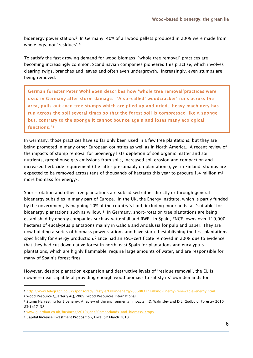bioenergy power station.5 In Germany, 40% of all wood pellets produced in 2009 were made from whole logs, not "residues".<sup>6</sup>

To satisfy the fast growing demand for wood biomass, "whole tree removal" practices are becoming increasingly common. Scandinavian companies pioneered this practise, which involves clearing twigs, branches and leaves and often even undergrowth. Increasingly, even stumps are being removed.

German forester Peter Wohlleben describes how "whole tree removal"practices were used in Germany after storm damage: "A so-called' woodcracker' runs across the area, pulls out even tree stumps which are piled up and dried…heavy machinery has run across the soil several times so that the forest soil is compressed like a sponge but, contrary to the sponge it cannot bounce again and loses many ecological functions."1

In Germany, those practices have so far only been used in a few tree plantations, but they are being promoted in many other European countries as well as in North America. A recent review of the impacts of stump removal for bioenergy lists depletion of soil organic matter and soil nutrients, greenhouse gas emissions from soils, increased soil erosion and compaction and increased herbicide requirement (the latter presumably on plantations), yet in Finland, stumps are expected to be removed across tens of thousands of hectares this year to procure 1.4 million  $m<sup>3</sup>$ more biomass for energy<sup>7</sup>.

Short-rotation and other tree plantations are subsidised either directly or through general bioenergy subsidies in many part of Europe. In the UK, the Energy Institute, which is partly funded by the government, is mapping 10% of the country"s land, including moorlands, as "suitable" for bioenergy plantations such as willow. <sup>8</sup> In Germany, short-rotation tree plantations are being established by energy companies such as Vattenfall and RWE. In Spain, ENCE, owns over 110,000 hectares of eucalyptus plantations mainly in Galicia and Andalusia for pulp and paper. They are now building a series of biomass power stations and have started establishing the first plantations specifically for energy production.<sup>9</sup> Ence had an FSC-certificate removed in 2008 due to evidence that they had cut down native forest in north-east Spain for plantations and eucalyptus plantations, which are highly flammable, require large amounts of water, and are responsible for many of Spain"s forest fires.

However, despite plantation expansion and destructive levels of "residue removal", the EU is nowhere near capable of providing enough wood biomass to satisfy its" own demands for

<sup>5</sup> <http://www.telegraph.co.uk/sponsored/lifestyle/talkingenergy/6560831/Talking-Energy-renewable-energy.html>

<sup>6</sup> Wood Resource Quarterly 4Q/2009, Wood Resources International

<sup>7</sup> Stump Harvesting for Bioenergy: A review of the environmental impacts, J.D. Walmsley and D.L. Godbold, Forestry 2010 83(1):17-38

<sup>8</sup> [www.guardian.co.uk/business/2010/jan/20/moorlands-and-biomass-crops](http://www.guardian.co.uk/business/2010/jan/20/moorlands-and-biomass-crops)

<sup>9</sup> Capital Increase Investment Proposition, Ence, 5th March 2010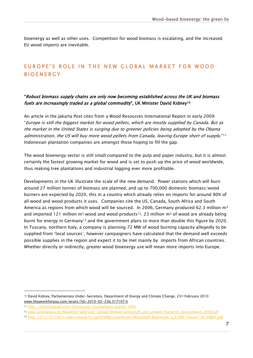bioenergy as well as other uses. Competition for wood biomass is escalating, and the increased EU wood imports are inevitable.

#### EUROPE'S ROLE IN THE NEW GLOBAL MARKET FOR WOOD **BIOENERGY**

#### "Robust biomass supply chains are only now becoming established across the UK and biomass fuels are increasingly traded as a global commodity", UK Minister David Kidney<sup>10</sup>

An article in the Jakarta Post cites from a Wood Resources International Report in early 2009: "Europe is still the biggest market for wood pellets, which are mostly supplied by Canada. But as the market in the United States is surging due to greener policies being adopted by the Obama administration, the US will buy more wood pellets from Canada, leaving Europe short of supply."<sup>11</sup> Indonesian plantation companies are amongst those hoping to fill the gap.

The wood bioenergy sector is still small compared to the pulp and paper industry, but it is almost certainly the fastest growing market for wood and is set to push up the price of wood worldwide, thus making tree plantations and industrial logging ever more profitable.

Developments in the UK illustrate the scale of the new demand: Power stations which will burn around 27 million tonnes of biomass are planned, and up to 700,000 domestic biomass/wood burners are expected by 2020, this in a country which already relies on imports for around 80% of all wood and wood products it uses. Companies cite the US, Canada, South Africa and South America as regions from which wood will be sourced. In 2006, Germany produced 62.3 million m<sup>3</sup> and imported 121 million m<sup>3</sup> wood and wood products<sup>12</sup>. 23 million m<sup>3</sup> of wood are already being burnt for energy in Germany<sup>13</sup> and the government plans to more than double this figure by 2020. In Tuscany, northern Italy, a company is planning 72 MW of wood burning capacity allegedly to be supplied from "local sources", however campaigners have calculated that the demand well exceeds possible supplies in the region and expect it to be met mainly by imports from African countries. Whether directly or indirectly, greater wood bioenergy use will mean more imports into Europe.

<sup>10</sup> David Kidney, Parliamentary Under-Secretary, Department of Energy and Climate Change, 23rd February 2010 [www.theyworkforyou.com/wrans/?id=2010-02-23b.317107.h](http://www.theyworkforyou.com/wrans/?id=2010-02-23b.317107.h)

<sup>11</sup> <http://timberbuysell.com/Community/DisplayNews.asp?id=5404>

<sup>12</sup> [www.greenpeace.de/fileadmin/gpd/user\\_upload/themen/wirtschaft\\_und\\_umwelt/Footprint\\_Deutschland\\_2008.pdf](http://www.greenpeace.de/fileadmin/gpd/user_upload/themen/wirtschaft_und_umwelt/Footprint_Deutschland_2008.pdf)

<sup>13</sup> [http://213.133.109.5/video/energy1tv/Jan%20NEU/Konferenz/Wirtschaft/BioEnergie\\_g\\_R/PDF/Forum1-Dr\\_KIBAT.pdf](http://213.133.109.5/video/energy1tv/Jan%20NEU/Konferenz/Wirtschaft/BioEnergie_g_R/PDF/Forum1-Dr_KIBAT.pdf)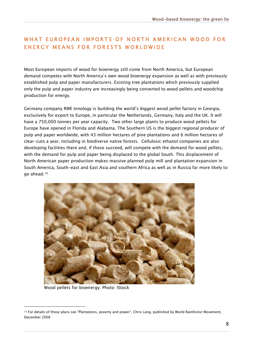#### WHAT EUROPEAN IMPORTS OF NORTH AMERICAN WOOD FOR ENERGY MEANS FOR FORESTS WORLDWIDE

Most European imports of wood for bioenergy still come from North America, but European demand competes with North America"s own wood bioenergy expansion as well as with previously established pulp and paper manufacturers. Existing tree plantations which previously supplied only the pulp and paper industry are increasingly being converted to wood pellets and woodchip production for energy.

Germany company RWE Innology is building the world"s biggest wood pellet factory in Georgia, exclusively for export to Europe, in particular the Netherlands, Germany, Italy and the UK. It will have a 750,000 tonnes per year capacity. Two other large plants to produce wood pellets for Europe have opened in Florida and Alabama. The Southern US is the biggest regional producer of pulp and paper worldwide, with 43 million hectares of pine plantations and 6 million hectares of clear-cuts a year, including in biodiverse native forests. Cellulosic ethanol companies are also developing facilities there and, if those succeed, will compete with the demand for wood pellets, with the demand for pulp and paper being displaced to the global South. This displacement of North American paper production makes massive planned pulp mill and plantation expansion in South America, South-east and East Asia and southern Africa as well as in Russia far more likely to go ahead.<sup>14</sup>



Wood pellets for bioenergy. Photo: IStock

<sup>&</sup>lt;sup>14</sup> For details of those plans see "Plantations, poverty and power", Chris Lang, published by World Rainforest Movement, December 2008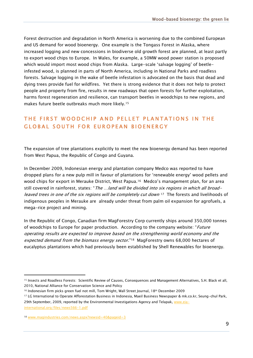Forest destruction and degradation in North America is worsening due to the combined European and US demand for wood bioenergy. One example is the Tongass Forest in Alaska, where increased logging and new concessions in biodiverse old growth forest are planned, at least partly to export wood chips to Europe. In Wales, for example, a 50MW wood power station is proposed which would import most wood chips from Alaska. Large-scale "salvage logging" of beetleinfested wood, is planned in parts of North America, including in National Parks and roadless forests. Salvage logging in the wake of beetle infestation is advocated on the basis that dead and dying trees provide fuel for wildfires. Yet there is strong evidence that it does not help to protect people and property from fire, results in new roadways that open forests for further exploitation, harms forest regeneration and resilience, can transport beetles in woodchips to new regions, and makes future beetle outbreaks much more likely.<sup>15</sup>

#### THE FIRST WOODCHIP AND PELLET PLANTATIONS IN THE GLOBAL SOUTH FOR EUROPEAN BIOENERGY

The expansion of tree plantations explicitly to meet the new bioenergy demand has been reported from West Papua, the Republic of Congo and Guyana.

In December 2009, Indonesian energy and plantation company Medco was reported to have dropped plans for a new pulp mill in favour of plantations for "renewable energy" wood pellets and wood chips for export in Merauke District, West Papua.<sup>16</sup> Medco's management plan, for an area still covered in rainforest, states: "The ...land will be divided into six regions in which all broadleaved trees in one of the six regions will be completely cut down  $17$  The forests and livelihoods of indigenous peoples in Merauke are already under threat from palm oil expansion for agrofuels, a mega-rice project and mining.

In the Republic of Congo, Canadian firm MagForestry Corp currently ships around 350,000 tonnes of woodchips to Europe for paper production. According to the company website: "*Future* operating results are expected to improve based on the strengthening world economy and the expected demand from the biomass energy sector."<sup>18</sup> MagForestry owns 68,000 hectares of eucalyptus plantations which had previously been established by Shell Renewables for bioenergy.

<sup>16</sup> Indonesian firm picks green fuel not mill, Tom Wright, Wall Street Journal, 18th December 2009

<sup>15</sup> Insects and Roadless Forests: Scientific Review of Causes, Consequences and Management Alternatives, S.H. Black et all, 2010, National Alliance for Conservation Science and Policy

<sup>17</sup> LG International to Operate Afforestation Business in Indonesia, Maeil Business Newspaper & mk.co.kr, Seung-chul Park, 29th September, 2009, reported by the Environmental Investigations Agency and Telapak, [www.eia](http://www.eia-international.org/files/news566-1.pdf)[international.org/files/news566-1.pdf](http://www.eia-international.org/files/news566-1.pdf)

<sup>18</sup> [www.magindustries.com/news.aspx?newsid=40&pageid=3](http://www.magindustries.com/news.aspx?newsid=40&pageid=3)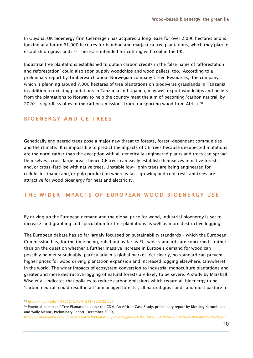In Guyana, UK bioenergy firm Celenergen has acquired a long lease for over 2,000 hectares and is looking at a future 61,000 hectares for bamboo and marjestica tree plantations, which they plan to establish on grasslands.<sup>19</sup> These are intended for cofiring with coal in the UK.

Industrial tree plantations established to obtain carbon credits in the false name of "afforestation and reforestation" could also soon supply woodchips and wood pellets, too. According to a preliminary report by Timberwatch about Norwegian company Green Resources, the company, which is planning around 7,000 hectares of tree plantations on biodiverse grasslands in Tanzania in addition to existing plantations in Tanzania and Uganda, may well export woodchips and pellets from the plantations to Norway to help the country meet the aim of becoming "carbon neutral" by 2020 – regardless of even the carbon emissions from transporting wood from Africa.<sup>20</sup>

#### B I O EN ERGY AND GE TREES

Genetically engineered trees pose a major new threat to forests, forest-dependent communities and the climate. It is impossible to predict the impacts of GE trees because unexpected mutations are the norm rather than the exception with all genetically engineered plants and trees can spread themselves across large areas, hence GE trees can easily establish themselves in native forests and/or cross-fertilise with native trees. Unstable low-lignin trees are being engineered for cellulosic ethanol and/or pulp production whereas fast-growing and cold-resistant trees are attractive for wood bioenergy for heat and electricity.

#### THE WIDER IMPACTS OF EUROPEAN WOOD BIOENERGY USE

By driving up the European demand and the global price for wood, industrial bioenergy is set to increase land grabbing and speculation for tree plantations as well as more destructive logging.

The European debate has so far largely focussed on sustainability standards – which the European Commission has, for the time being, ruled out as far as EU-wide standards are concerned – rather than on the question whether a further massive increase in Europe"s demand for wood can possibly be met sustainably, particularly in a global market. Yet clearly, no standard can prevent higher prices for wood driving plantation expansion and increased logging elsewhere, (anywhere) in the world. The wider impacts of ecosystem conversion to industrial monoculture plantations and greater and more destructive logging of natural forests are likely to be severe. A study by Marshall Wise et al indicates that policies to reduce carbon emissions which regard all bioenergy to be "carbon neutral" could result in all "unmanaged forests", all natural grasslands and most pasture to

<sup>19</sup> <http://hugin.info/141872/R/1341211/320732.pdf>

<sup>&</sup>lt;sup>20</sup> Potential Impacts of Tree Plantations under the CDM: An African Case Study, preliminary report by Blessing Karumbidza and Wally Menne, Preliminary Report, December 2009,

[http://timberwatch.org/uploads/Draft%20Plantation\\_Projects\\_under%20CDM%20-%20Blessing%20&%20Wally%281%29.pdf](http://timberwatch.org/uploads/Draft%20Plantation_Projects_under%20CDM%20-%20Blessing%20&%20Wally%281%29.pdf)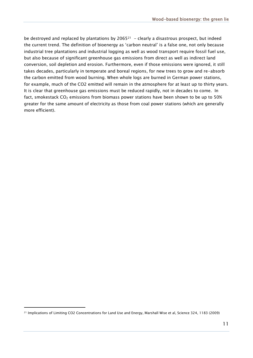be destroyed and replaced by plantations by  $2065^{21}$  - clearly a disastrous prospect, but indeed the current trend. The definition of bioenergy as "carbon neutral" is a false one, not only because industrial tree plantations and industrial logging as well as wood transport require fossil fuel use, but also because of significant greenhouse gas emissions from direct as well as indirect land conversion, soil depletion and erosion. Furthermore, even if those emissions were ignored, it still takes decades, particularly in temperate and boreal regions, for new trees to grow and re-absorb the carbon emitted from wood burning. When whole logs are burned in German power stations, for example, much of the CO2 emitted will remain in the atmosphere for at least up to thirty years. It is clear that greenhouse gas emissions must be reduced rapidly, not in decades to come. In fact, smokestack  $CO<sub>2</sub>$  emissions from biomass power stations have been shown to be up to 50% greater for the same amount of electricity as those from coal power stations (which are generally more efficient).

<sup>21</sup> Implications of Limiting CO2 Concentrations for Land Use and Energy, Marshall Wise et al, Science 324, 1183 (2009)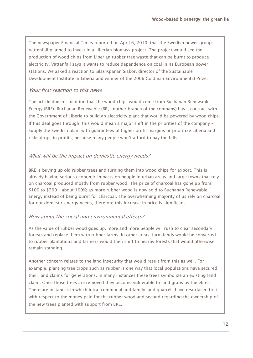The newspaper Financial Times reported on April 6, 2010, that the Swedish power group Vattenfall planned to invest in a Liberian biomass project. The project would see the production of wood chips from Liberian rubber tree waste that can be burnt to produce electricity. Vattenfall says it wants to reduce dependence on coal in its European power stations. We asked a reaction to Silas Kpanan"Siakor, director of the Sustainable Development Institute in Liberia and winner of the 2006 Goldman Environmental Prize.

#### Your first reaction to this news

The article doesn"t mention that the wood chips would come from Buchanan Renewable Energy (BRE). Buchanan Renewable (BR, another branch of the company) has a contract with the Government of Liberia to build an electricity plant that would be powered by wood chips. If this deal goes through, this would mean a major shift in the priorities of the company – supply the Swedish plant with guarantees of higher profit margins or prioritize Liberia and risks drops in profits; because many people won't afford to pay the bills.

#### What will be the impact on domestic energy needs?

BRE is buying up old rubber trees and turning them into wood chips for export. This is already having serious economic impacts on people in urban areas and large towns that rely on charcoal produced mostly from rubber wood. The price of charcoal has gone up from \$100 to \$200 – about 100%; as more rubber wood is now sold to Buchanan Renewable Energy instead of being burnt for charcoal. The overwhelming majority of us rely on charcoal for our domestic energy needs, therefore this increase in price is significant.

#### How about the social and environmental effects?

As the value of rubber wood goes up, more and more people will rush to clear secondary forests and replace them with rubber farms. In other areas, farm lands would be converted to rubber plantations and farmers would then shift to nearby forests that would otherwise remain standing.

Another concern relates to the land insecurity that would result from this as well. For example, planting tree crops such as rubber is one way that local populations have secured their land claims for generations. In many instances these trees symbolize an existing land claim. Once those trees are removed they become vulnerable to land grabs by the elites. There are instances in which intra-communal and family land quarrels have resurfaced first with respect to the money paid for the rubber wood and second regarding the ownership of the new trees planted with support from BRE.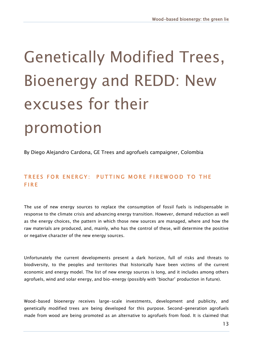## Genetically Modified Trees, Bioenergy and REDD: New excuses for their promotion

By Diego Alejandro Cardona, GE Trees and agrofuels campaigner, Colombia

#### TREES FOR ENERGY: PUTTING MORE FIREWOOD TO THE F I R E

The use of new energy sources to replace the consumption of fossil fuels is indispensable in response to the climate crisis and advancing energy transition. However, demand reduction as well as the energy choices, the pattern in which those new sources are managed, where and how the raw materials are produced, and, mainly, who has the control of these, will determine the positive or negative character of the new energy sources.

Unfortunately the current developments present a dark horizon, full of risks and threats to biodiversity, to the peoples and territories that historically have been victims of the current economic and energy model. The list of new energy sources is long, and it includes among others agrofuels, wind and solar energy, and bio-energy (possibly with "biochar" production in future).

Wood-based bioenergy receives large-scale investments, development and publicity, and genetically modified trees are being developed for this purpose. Second-generation agrofuels made from wood are being promoted as an alternative to agrofuels from food. It is claimed that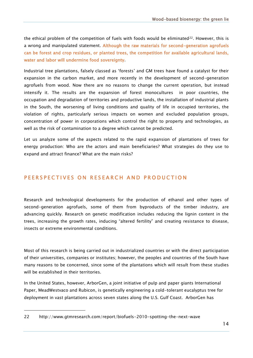the ethical problem of the competition of fuels with foods would be eliminated<sup>22</sup>. However, this is a wrong and manipulated statement. Although the raw materials for second-generation agrofuels can be forest and crop residues, or planted trees, the competition for available agricultural lands, water and labor will undermine food sovereignty.

Industrial tree plantations, falsely classed as "forests" and GM trees have found a catalyst for their expansion in the carbon market, and more recently in the development of second-generation agrofuels from wood. Now there are no reasons to change the current operation, but instead intensify it. The results are the expansion of forest monocultures in poor countries, the occupation and degradation of territories and productive lands, the installation of industrial plants in the South, the worsening of living conditions and quality of life in occupied territories, the violation of rights, particularly serious impacts on women and excluded population groups, concentration of power in corporations which control the right to property and technologies, as well as the risk of contamination to a degree which cannot be predicted.

Let us analyze some of the aspects related to the rapid expansion of plantations of trees for energy production: Who are the actors and main beneficiaries? What strategies do they use to expand and attract finance? What are the main risks?

#### PEERSPECTIVES ON RESEARCH AND PRODUCTION

Research and technological developments for the production of ethanol and other types of second-generation agrofuels, some of them from byproducts of the timber industry, are advancing quickly. Research on genetic modification includes reducing the lignin content in the trees, increasing the growth rates, inducing "altered fertility" and creating resistance to disease, insects or extreme environmental conditions.

Most of this research is being carried out in industrialized countries or with the direct participation of their universities, companies or institutes; however, the peoples and countries of the South have many reasons to be concerned, since some of the plantations which will result from these studies will be established in their territories.

In the United States, however, ArborGen, a joint initiative of pulp and paper giants International Paper, MeadWestvaco and Rubicon, is genetically engineering a cold-tolerant eucalyptus tree for deployment in vast plantations across seven states along the U.S. Gulf Coast. ArborGen has

<sup>22</sup> http://www.gtmresearch.com/report/biofuels-2010-spotting-the-next-wave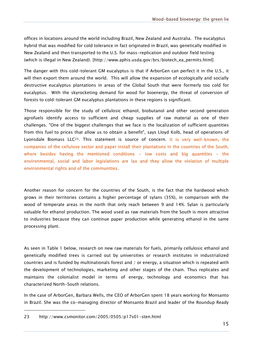offices in locations around the world including Brazil, New Zealand and Australia. The eucalyptus hybrid that was modified for cold tolerance in fact originated in Brazil, was genetically modified in New Zealand and then transported to the U.S. for mass-replication and outdoor field testing (which is illegal in New Zealand). [http://www.aphis.usda.gov/brs/biotech\_ea\_permits.html]

The danger with this cold-tolerant GM eucalyptus is that if ArborGen can perfect it in the U.S., it will then export them around the world. This will allow the expansion of ecologically and socially destructive eucalyptus plantations in areas of the Global South that were formerly too cold for eucalyptus. With the skyrocketing demand for wood for bioenergy, the threat of conversion of forests to cold-tolerant GM eucalyptus plantations in these regions is significant.

Those responsible for the study of cellulosic ethanol, biobutanol and other second generation agrofuels identify access to sufficient and cheap supplies of raw material as one of their challenges. "One of the biggest challenges that we face is the localization of sufficient quantities from this fuel to prices that allow us to obtain a benefit", says Lloyd Kolb, head of operations of Lyonsdale Biomass LLC23. This statement is source of concern. It is very well-known, the companies of the cellulose sector and paper install their plantations in the countries of the South, where besides having the mentioned conditions  $-$  low costs and big quantities  $-$  the environmental, social and labor legislations are lax and they allow the violation of multiple environmental rights and of the communities.

Another reason for concern for the countries of the South, is the fact that the hardwood which grows in their territories contains a higher percentage of sylans (35%), in comparison with the wood of temperate areas in the north that only reach between 9 and 14%. Sylan is particularly valuable for ethanol production. The wood used as raw materials from the South is more attractive to industries because they can continue paper production while generating ethanol in the same processing plant.

As seen in Table 1 below, research on new raw materials for fuels, primarily cellulosic ethanol and genetically modified trees is carried out by universities or research institutes in industrialized countries and is funded by multinationals forest and / or energy, a situation which is repeated with the development of technologies, marketing and other stages of the chain. Thus replicates and maintains the colonialist model in terms of energy, technology and economics that has characterized North-South relations.

In the case of ArborGen, Barbara Wells, the CEO of ArborGen spent 18 years working for Monsanto in Brazil. She was the co-managing director of Monsanto Brazil and leader of the Roundup Ready

<sup>23</sup> http://www.csmonitor.com/2005/0505/p17s01-sten.html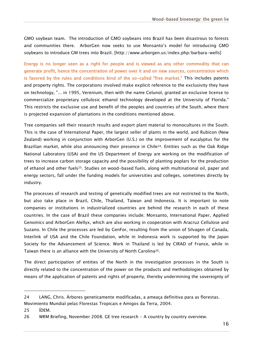GMO soybean team. The introduction of GMO soybeans into Brazil has been disastrous to forests and communities there. ArborGen now seeks to use Monsanto"s model for introducing GMO soybeans to introduce GM trees into Brazil. [http://www.arborgen.us/index.php/barbara-wells]

Energy is no longer seen as a right for people and is viewed as any other commodity that can generate profit, hence the concentration of power over it and on new sources, concentration which is favored by the rules and conditions bind of the so-called "free market." This includes patents and property rights. The corporations involved make explicit reference to the exclusivity they have on technology, "... in 1995, Verenium, then with the name Celunol, granted an exclusive license to commercialize proprietary cellulosic ethanol technology developed at the University of Florida." This restricts the exclusive use and benefit of the peoples and countries of the South, where there is projected expansion of plantations in the conditions mentioned above.

Tree companies sell their research results and export plant material to monocultures in the South. This is the case of International Paper, the largest seller of plants in the world, and Rubicon (New Zealand) working in conjunction with ArborGen (U.S.) on the improvement of eucalyptus for the Brazilian market, while also announcing their presence in Chile<sup>24</sup>. Entities such as the Oak Ridge National Laboratory (USA) and the US Department of Energy are working on the modification of trees to increase carbon storage capacity and the possibility of planting poplars for the production of ethanol and other fuels25. Studies on wood-based fuels, along with multinational oil, paper and energy sectors, fall under the funding models for universities and colleges, sometimes directly by industry.

The processes of research and testing of genetically modified trees are not restricted to the North, but also take place in Brazil, Chile, Thailand, Taiwan and Indonesia. It is important to note companies or institutions in industrialized countries are behind the research in each of these countries. In the case of Brazil these companies include; Monsanto, International Paper, Applied Genomics and ArborGen Alellyx, which are also working in cooperation with Aracruz Cellulose and Suzano. In Chile the processes are led by GenFor, resulting from the union of Silvagen of Canada, Interlink of USA and the Chile Foundation, while in Indonesia work is supported by the Japan Society for the Advancement of Science. Work in Thailand is led by CIRAD of France, while in Taiwan there is an alliance with the University of North Carolina26.

The direct participation of entities of the North in the investigation processes in the South is directly related to the concentration of the power on the products and methodologies obtained by means of the application of patents and rights of property, thereby undermining the sovereignty of

Movimiento Mundial pelas Florestas Tropicais e Amigos da Terra, 2004.

<sup>24</sup> LANG, Chris. Árbores geneticamente modificadas, a ameaça definitiva para as florestas.

<sup>25</sup> ÍDEM.

<sup>26</sup> WRM Briefing, November 2008. GE tree research - A country by country overview.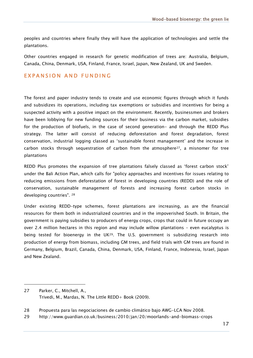peoples and countries where finally they will have the application of technologies and settle the plantations.

Other countries engaged in research for genetic modification of trees are: Australia, Belgium, Canada, China, Denmark, USA, Finland, France, Israel, Japan, New Zealand, UK and Sweden.

#### EXPANSION AND FUNDING

The forest and paper industry tends to create and use economic figures through which it funds and subsidizes its operations, including tax exemptions or subsidies and incentives for being a suspected activity with a positive impact on the environment. Recently, businessmen and brokers have been lobbying for new funding sources for their business via the carbon market, subsidies for the production of biofuels, in the case of second generation- and through the REDD Plus strategy. The latter will consist of reducing deforestation and forest degradation, forest conservation, industrial logging classed as "sustainable forest management" and the increase in carbon stocks through sequestration of carbon from the atmosphere<sup>27</sup>, a misnomer for tree plantations

REDD Plus promotes the expansion of tree plantations falsely classed as "forest carbon stock" under the Bali Action Plan, which calls for "policy approaches and incentives for issues relating to reducing emissions from deforestation of forest in developing countries (REDD) and the role of conservation, sustainable management of forests and increasing forest carbon stocks in developing countries". <sup>28</sup>

Under existing REDD-type schemes, forest plantations are increasing, as are the financial resources for them both in industrialized countries and in the impoverished South. In Britain, the government is paying subsidies to producers of energy crops, crops that could in future occupy an over 2.4 million hectares in this region and may include willow plantations – even eucalyptus is being tested for bioenergy in the UK<sup>29</sup>. The U.S. government is subsidizing research into production of energy from biomass, including GM trees, and field trials with GM trees are found in Germany, Belgium, Brazil, Canada, China, Denmark, USA, Finland, France, Indonesia, Israel, Japan and New Zealand.

-

28 Propuesta para las negociaciones de cambio climático bajo AWG-LCA Nov 2008.

29 http://www.guardian.co.uk/business/2010/jan/20/moorlands-and-biomass-crops

<sup>27</sup> Parker, C., Mitchell, A., Trivedi, M., Mardas, N. The Little REDD+ Book (2009).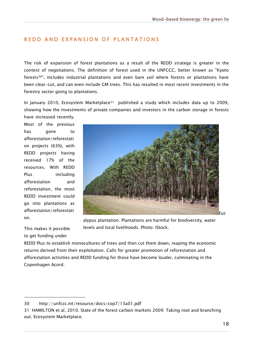#### REDD AND EXPANSION OF PLANTATIONS

The risk of expansion of forest plantations as a result of the REDD strategy is greater in the context of negotiations. The definition of forest used in the UNFCCC, better known as "Kyoto forests30", includes industrial plantations and even bare soil where forests or plantations have been clear-cut, and can even include GM trees. This has resulted in most recent investments in the forestry sector going to plantations.

In January 2010, Ecosystem Marketplace<sup>31</sup> published a study which includes data up to 2009, showing how the investments of private companies and investors in the carbon storage in forests have increased recently.

Most of the previous has gone to afforestation/reforestati on projects (63%), with REDD projects having received 17% of the resources. With REDD Plus including afforestation and reforestation, the most REDD investment could go into plantations as afforestation/reforestati on.



alypus plantation. Plantations are harmful for biodiversity, water levels and local livelihoods. Photo: IStock.

This makes it possible to get funding under

-

REDD Plus to establish monocultures of trees and then cut them down, reaping the economic returns derived from their exploitation. Calls for greater promotion of reforestation and afforestation activities and REDD funding for those have become louder, culminating in the Copenhagen Acord.

<sup>30</sup> http://unfccc.int/resource/docs/cop7/13a01.pdf

<sup>31</sup> HAMILTON et al. 2010. State of the forest carbon markets 2009: Taking root and branching out. Ecosystem Marketplace.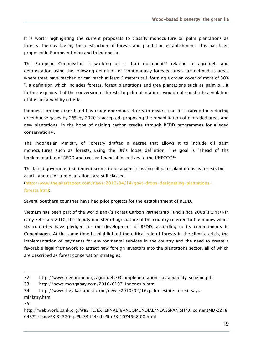It is worth highlighting the current proposals to classify monoculture oil palm plantations as forests, thereby fueling the destruction of forests and plantation establishment. This has been proposed in European Union and in Indonesia.

The European Commission is working on a draft document<sup>32</sup> relating to agrofuels and deforestation using the following definition of "continuously forested areas are defined as areas where trees have reached or can reach at least 5 meters tall, forming a crown cover of more of 30% ", a definition which includes forests, forest plantations and tree plantations such as palm oil. It further explains that the conversion of forests to palm plantations would not constitute a violation of the sustainability criteria.

Indonesia on the other hand has made enormous efforts to ensure that its strategy for reducing greenhouse gases by 26% by 2020 is accepted, proposing the rehabilitation of degraded areas and new plantations, in the hope of gaining carbon credits through REDD programmes for alleged conservation33.

The Indonesian Ministry of Forestry drafted a decree that allows it to include oil palm monocultures such as forests, using the UN"s loose definition. The goal is "ahead of the implementation of REDD and receive financial incentives to the UNFCCC34.

The latest government statement seems to be against classing oil palm plantations as forests but acacia and other tree plantations are still classed

[\(http://www.thejakartapost.com/news/2010/04/14/govt-drops-designating-plantations](http://www.thejakartapost.com/news/2010/04/14/govt-drops-designating-plantations-forests.html)[forests.html\)](http://www.thejakartapost.com/news/2010/04/14/govt-drops-designating-plantations-forests.html).

Several Southern countries have had pilot projects for the establishment of REDD.

Vietnam has been part of the World Bank"s Forest Carbon Partnership Fund since 2008 (FCPF)35. In early February 2010, the deputy minister of agriculture of the country referred to the money which six countries have pledged for the development of REDD, according to its commitments in Copenhagen. At the same time he highlighted the critical role of forests in the climate crisis, the implementation of payments for environmental services in the country and the need to create a favorable legal framework to attract new foreign investors into the plantations sector, all of which are described as forest conservation strategies.

<sup>32</sup> http://www.foeeurope.org/agrofuels/EC\_implementation\_sustainability\_scheme.pdf

<sup>33</sup> http://news.mongabay.com/2010/0107-indonesia.html

<sup>34</sup> http://www.thejakartapost.c om/news/2010/02/16/palm-estate-forest-says-

ministry.html

<sup>35</sup>

http://web.worldbank.org/WBSITE/EXTERNAL/BANCOMUNDIAL/NEWSSPANISH/0,,contentMDK:218 64371~pagePK:34370~piPK:34424~theSitePK:1074568,00.html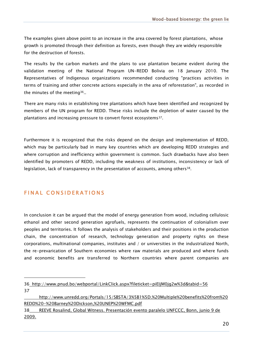The examples given above point to an increase in the area covered by forest plantations, whose growth is promoted through their definition as forests, even though they are widely responsible for the destruction of forests.

The results by the carbon markets and the plans to use plantation became evident during the validation meeting of the National Program UN-REDD Bolivia on 18 January 2010. The Representatives of Indigenous organizations recommended conducting "practices activities in terms of training and other concrete actions especially in the area of reforestation", as recorded in the minutes of the meeting<sup>36</sup>..

There are many risks in establishing tree plantations which have been identified and recognized by members of the UN program for REDD. These risks include the depletion of water caused by the plantations and increasing pressure to convert forest ecosystems<sup>37</sup>.

Furthermore it is recognized that the risks depend on the design and implementation of REDD, which may be particularly bad in many key countries which are developing REDD strategies and where corruption and inefficiency within government is common. Such drawbacks have also been identified by promoters of REDD, including the weakness of institutions, inconsistency or lack of legislation, lack of transparency in the presentation of accounts, among others<sup>38</sup>.

#### FINAL CONSIDERATIONS

-

In conclusion it can be argued that the model of energy generation from wood, including cellulosic ethanol and other second generation agrofuels, represents the continuation of colonialism over peoples and territories. It follows the analysis of stakeholders and their positions in the production chain, the concentration of research, technology generation and property rights on these corporations, multinational companies, institutes and / or universities in the industrialized North, the re-prevarication of Southern economies where raw materials are produced and where funds and economic benefits are transferred to Northern countries where parent companies are

<sup>36</sup> http://www.pnud.bo/webportal/LinkClick.aspx?fileticket=piEIjM0jg2w%3d&tabid=56 37

http://www.unredd.org/Portals/15/SBSTA/3%5B1%5D.%20Multiple%20benefits%20from%20 REDD%20-%20Barney%20Dickson,%20UNEP%20WFMC.pdf

<sup>38</sup> REEVE Rosalind, Global Witness. Presentación evento paralelo UNFCCC, Bonn, junio 9 de 2009.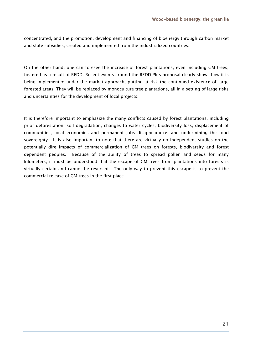concentrated, and the promotion, development and financing of bioenergy through carbon market and state subsidies, created and implemented from the industrialized countries.

On the other hand, one can foresee the increase of forest plantations, even including GM trees, fostered as a result of REDD. Recent events around the REDD Plus proposal clearly shows how it is being implemented under the market approach, putting at risk the continued existence of large forested areas. They will be replaced by monoculture tree plantations, all in a setting of large risks and uncertainties for the development of local projects.

It is therefore important to emphasize the many conflicts caused by forest plantations, including prior deforestation, soil degradation, changes to water cycles, biodiversity loss, displacement of communities, local economies and permanent jobs disappearance, and undermining the food sovereignty. It is also important to note that there are virtually no independent studies on the potentially dire impacts of commercialization of GM trees on forests, biodiversity and forest dependent peoples. Because of the ability of trees to spread pollen and seeds for many kilometers, it must be understood that the escape of GM trees from plantations into forests is virtually certain and cannot be reversed. The only way to prevent this escape is to prevent the commercial release of GM trees in the first place.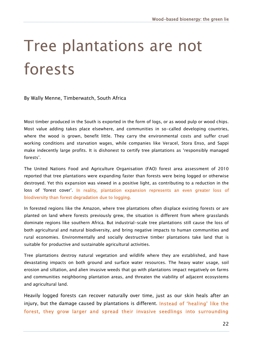### Tree plantations are not forests

By Wally Menne, Timberwatch, South Africa

Most timber produced in the South is exported in the form of logs, or as wood pulp or wood chips. Most value adding takes place elsewhere, and communities in so-called developing countries, where the wood is grown, benefit little. They carry the environmental costs and suffer cruel working conditions and starvation wages, while companies like Veracel, Stora Enso, and Sappi make indecently large profits. It is dishonest to certify tree plantations as "responsibly managed forests".

The United Nations Food and Agriculture Organisation (FAO) forest area assessment of 2010 reported that tree plantations were expanding faster than forests were being logged or otherwise destroyed. Yet this expansion was viewed in a positive light, as contributing to a reduction in the loss of 'forest cover'. In reality, plantation expansion represents an even greater loss of biodiversity than forest degradation due to logging.

In forested regions like the Amazon, where tree plantations often displace existing forests or are planted on land where forests previously grew, the situation is different from where grasslands dominate regions like southern Africa. But industrial-scale tree plantations still cause the loss of both agricultural and natural biodiversity, and bring negative impacts to human communities and rural economies. Environmentally and socially destructive timber plantations take land that is suitable for productive and sustainable agricultural activities.

Tree plantations destroy natural vegetation and wildlife where they are established, and have devastating impacts on both ground and surface water resources. The heavy water usage, soil erosion and siltation, and alien invasive weeds that go with plantations impact negatively on farms and communities neighboring plantation areas, and threaten the viability of adjacent ecosystems and agricultural land.

Heavily logged forests can recover naturally over time, just as our skin heals after an injury, but the damage caused by plantations is different. Instead of 'healing' like the forest, they grow larger and spread their invasive seedlings into surrounding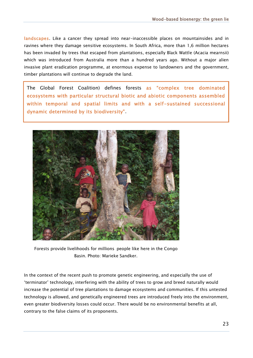landscapes. Like a cancer they spread into near-inaccessible places on mountainsides and in ravines where they damage sensitive ecosystems. In South Africa, more than 1,6 million hectares has been invaded by trees that escaped from plantations, especially Black Wattle (Acacia mearnsii) which was introduced from Australia more than a hundred years ago. Without a major alien invasive plant eradication programme, at enormous expense to landowners and the government, timber plantations will continue to degrade the land.

The Global Forest Coalition) defines forests as "complex tree dominated ecosystems with particular structural biotic and abiotic components assembled within temporal and spatial limits and with a self-sustained successional dynamic determined by its biodiversity".



Forests provide livelihoods for millions people like here in the Congo Basin. Photo: Marieke Sandker.

In the context of the recent push to promote genetic engineering, and especially the use of "terminator" technology, interfering with the ability of trees to grow and breed naturally would increase the potential of tree plantations to damage ecosystems and communities. If this untested technology is allowed, and genetically engineered trees are introduced freely into the environment, even greater biodiversity losses could occur. There would be no environmental benefits at all, contrary to the false claims of its proponents.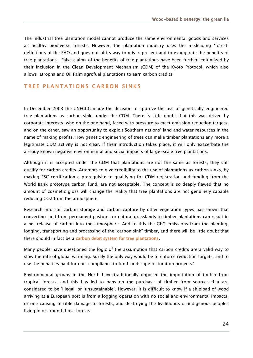The industrial tree plantation model cannot produce the same environmental goods and services as healthy biodiverse forests. However, the plantation industry uses the misleading "forest" definitions of the FAO and goes out of its way to mis-represent and to exaggerate the benefits of tree plantations. False claims of the benefits of tree plantations have been further legitimized by their inclusion in the Clean Development Mechanism (CDM) of the Kyoto Protocol, which also allows Jatropha and Oil Palm agrofuel plantations to earn carbon credits.

#### TREE PLANTATIONS CARBON SINKS

In December 2003 the UNFCCC made the decision to approve the use of genetically engineered tree plantations as carbon sinks under the CDM. There is little doubt that this was driven by corporate interests, who on the one hand, faced with pressure to meet emission reduction targets, and on the other, saw an opportunity to exploit Southern nations" land and water resources in the name of making profits. How genetic engineering of trees can make timber plantations any more a legitimate CDM activity is not clear. If their introduction takes place, it will only exacerbate the already known negative environmental and social impacts of large-scale tree plantations.

Although it is accepted under the CDM that plantations are not the same as forests, they still qualify for carbon credits. Attempts to give credibility to the use of plantations as carbon sinks, by making FSC certification a prerequisite to qualifying for CDM registration and funding from the World Bank prototype carbon fund, are not acceptable. The concept is so deeply flawed that no amount of cosmetic gloss will change the reality that tree plantations are not genuinely capable reducing CO2 from the atmosphere.

Research into soil carbon storage and carbon capture by other vegetation types has shown that converting land from permanent pastures or natural grasslands to timber plantations can result in a net release of carbon into the atmosphere. Add to this the GhG emissions from the planting, logging, transporting and processing of the "carbon sink" timber, and there will be little doubt that there should in fact be a carbon debit system for tree plantations.

Many people have questioned the logic of the assumption that carbon credits are a valid way to slow the rate of global warming. Surely the only way would be to enforce reduction targets, and to use the penalties paid for non-compliance to fund landscape restoration projects?

Environmental groups in the North have traditionally opposed the importation of timber from tropical forests, and this has led to bans on the purchase of timber from sources that are considered to be "illegal" or "unsustainable". However, it is difficult to know if a shipload of wood arriving at a European port is from a logging operation with no social and environmental impacts, or one causing terrible damage to forests, and destroying the livelihoods of indigenous peoples living in or around those forests.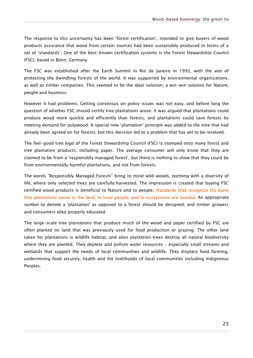The response to this uncertainty has been "forest certification", intended to give buyers of wood products assurance that wood from certain sources had been sustainably produced in terms of a set of 'standards'. One of the best-known certification systems is the Forest Stewardship Council (FSC), based in Bonn, Germany.

The FSC was established after the Earth Summit in Rio de Janeiro in 1992, with the aim of protecting the dwindling forests of the world. It was supported by environmental organizations, as well as timber companies. This seemed to be the ideal solution, a win-win solution for Nature, people and business.

However it had problems. Getting consensus on policy issues was not easy, and before long the question of whether FSC should certify tree plantations arose. It was argued that plantations could produce wood more quickly and efficiently than forests, and plantations could save forests by meeting demand for pulpwood. A special new "plantation" principle was added to the nine that had already been agreed on for forests, but this decision led to a problem that has yet to be resolved.

The feel-good tree logo of the Forest Stewardship Council (FSC) is stamped onto many forest and tree plantation products, including paper. The average consumer will only know that they are claimed to be from a "responsibly managed forest", but there is nothing to show that they could be from environmentally harmful plantations, and not from forests.

The words "Responsibly Managed Forests" bring to mind wild woods, teeming with a diversity of life, where only selected trees are carefully harvested. The impression is created that buying FSC certified wood products is beneficial to Nature and to people. Standards that recognize the harm that plantations cause to the land, to local people, and to ecosystems are needed. An appropriate symbol to denote a 'plantation' as opposed to a forest should be designed, and timber growers and consumers alike properly educated.

The large-scale tree plantations that produce much of the wood and paper certified by FSC are often planted on land that was previously used for food production or grazing. The other land taken for plantations is wildlife habitat, and alien plantation trees destroy all natural biodiversity where they are planted. They deplete and pollute water resources - especially small streams and wetlands that support the needs of local communities and wildlife. They displace food farming, undermining food security, health and the livelihoods of local communities including Indigenous Peoples.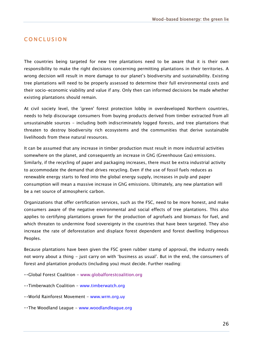#### **CONCLUSION**

The countries being targeted for new tree plantations need to be aware that it is their own responsibility to make the right decisions concerning permitting plantations in their territories. A wrong decision will result in more damage to our planet"s biodiversity and sustainability. Existing tree plantations will need to be properly assessed to determine their full environmental costs and their socio-economic viability and value if any. Only then can informed decisions be made whether existing plantations should remain.

At civil society level, the 'green' forest protection lobby in overdeveloped Northern countries, needs to help discourage consumers from buying products derived from timber extracted from all unsustainable sources - including both indiscriminately logged forests, and tree plantations that threaten to destroy biodiversity rich ecosystems and the communities that derive sustainable livelihoods from these natural resources.

It can be assumed that any increase in timber production must result in more industrial activities somewhere on the planet, and consequently an increase in GhG (Greenhouse Gas) emissions. Similarly, if the recycling of paper and packaging increases, there must be extra industrial activity to accommodate the demand that drives recycling. Even if the use of fossil fuels reduces as renewable energy starts to feed into the global energy supply, increases in pulp and paper consumption will mean a massive increase in GhG emissions. Ultimately, any new plantation will be a net source of atmospheric carbon.

Organizations that offer certification services, such as the FSC, need to be more honest, and make consumers aware of the negative environmental and social effects of tree plantations. This also applies to certifying plantations grown for the production of agrofuels and biomass for fuel, and which threaten to undermine food sovereignty in the countries that have been targeted. They also increase the rate of deforestation and displace forest dependent and forest dwelling Indigenous Peoples.

Because plantations have been given the FSC green rubber stamp of approval, the industry needs not worry about a thing - just carry on with "business as usual". But in the end, the consumers of forest and plantation products (including you) must decide. Further reading:

- Global Forest Coalition www.globalforestcoalition.org
- Timberwatch Coalition www.timberwatch.org
- ..World Rainforest Movement www.wrm.org.uy
- ..The Woodland League www.woodlandleague.org